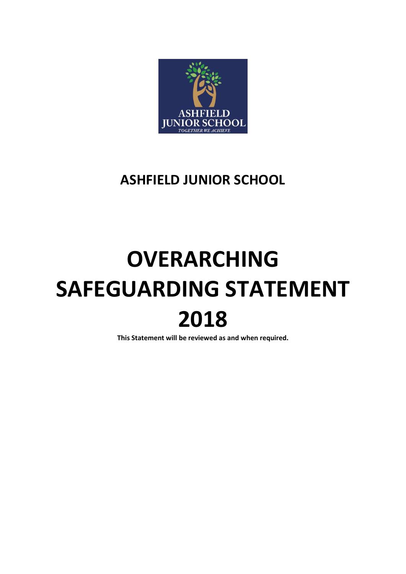

# **ASHFIELD JUNIOR SCHOOL**

# **OVERARCHING SAFEGUARDING STATEMENT 2018**

**This Statement will be reviewed as and when required.**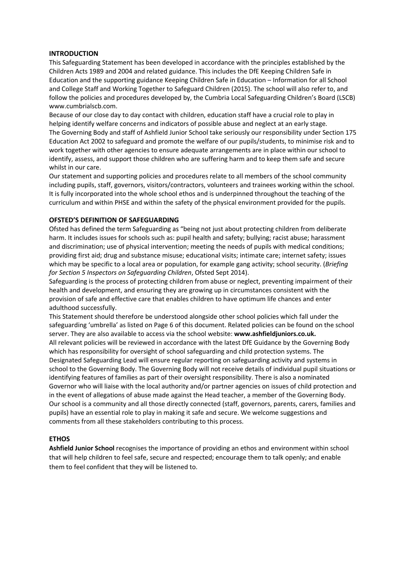#### **INTRODUCTION**

This Safeguarding Statement has been developed in accordance with the principles established by the Children Acts 1989 and 2004 and related guidance. This includes the DfE Keeping Children Safe in Education and the supporting guidance Keeping Children Safe in Education – Information for all School and College Staff and Working Together to Safeguard Children (2015). The school will also refer to, and follow the policies and procedures developed by, the Cumbria Local Safeguarding Children's Board (LSCB) www.cumbrialscb.com.

Because of our close day to day contact with children, education staff have a crucial role to play in helping identify welfare concerns and indicators of possible abuse and neglect at an early stage*.*  The Governing Body and staff of Ashfield Junior School take seriously our responsibility under Section 175 Education Act 2002 to safeguard and promote the welfare of our pupils/students, to minimise risk and to work together with other agencies to ensure adequate arrangements are in place within our school to identify, assess, and support those children who are suffering harm and to keep them safe and secure whilst in our care.

Our statement and supporting policies and procedures relate to all members of the school community including pupils, staff, governors, visitors/contractors, volunteers and trainees working within the school. It is fully incorporated into the whole school ethos and is underpinned throughout the teaching of the curriculum and within PHSE and within the safety of the physical environment provided for the pupils.

# **OFSTED'S DEFINITION OF SAFEGUARDING**

Ofsted has defined the term Safeguarding as "being not just about protecting children from deliberate harm. It includes issues for schools such as: pupil health and safety; bullying; racist abuse; harassment and discrimination; use of physical intervention; meeting the needs of pupils with medical conditions; providing first aid; drug and substance misuse; educational visits; intimate care; internet safety; issues which may be specific to a local area or population, for example gang activity; school security. (*Briefing for Section 5 Inspectors on Safeguarding Children*, Ofsted Sept 2014).

Safeguarding is the process of protecting children from abuse or neglect, preventing impairment of their health and development, and ensuring they are growing up in circumstances consistent with the provision of safe and effective care that enables children to have optimum life chances and enter adulthood successfully.

This Statement should therefore be understood alongside other school policies which fall under the safeguarding 'umbrella' as listed on Page 6 of this document. Related policies can be found on the school server. They are also available to access via the school website: **www.ashfieldjuniors.co.uk.**  All relevant policies will be reviewed in accordance with the latest DfE Guidance by the Governing Body which has responsibility for oversight of school safeguarding and child protection systems. The Designated Safeguarding Lead will ensure regular reporting on safeguarding activity and systems in school to the Governing Body. The Governing Body will not receive details of individual pupil situations or identifying features of families as part of their oversight responsibility. There is also a nominated Governor who will liaise with the local authority and/or partner agencies on issues of child protection and in the event of allegations of abuse made against the Head teacher, a member of the Governing Body. Our school is a community and all those directly connected (staff, governors, parents, carers, families and pupils) have an essential role to play in making it safe and secure. We welcome suggestions and comments from all these stakeholders contributing to this process.

# **ETHOS**

**Ashfield Junior School** recognises the importance of providing an ethos and environment within school that will help children to feel safe, secure and respected; encourage them to talk openly; and enable them to feel confident that they will be listened to.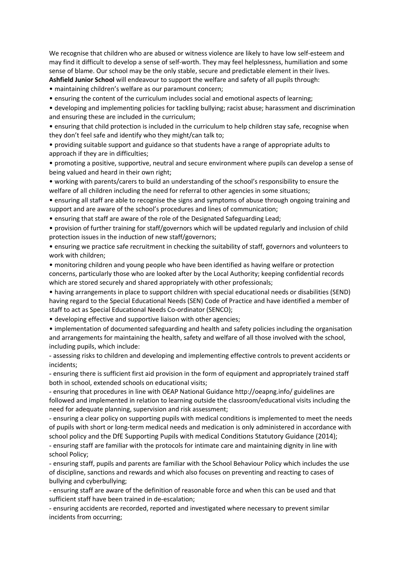We recognise that children who are abused or witness violence are likely to have low self-esteem and may find it difficult to develop a sense of self-worth. They may feel helplessness, humiliation and some sense of blame. Our school may be the only stable, secure and predictable element in their lives. **Ashfield Junior School** will endeavour to support the welfare and safety of all pupils through:

• maintaining children's welfare as our paramount concern;

• ensuring the content of the curriculum includes social and emotional aspects of learning;

• developing and implementing policies for tackling bullying; racist abuse; harassment and discrimination and ensuring these are included in the curriculum;

• ensuring that child protection is included in the curriculum to help children stay safe, recognise when they don't feel safe and identify who they might/can talk to;

• providing suitable support and guidance so that students have a range of appropriate adults to approach if they are in difficulties;

• promoting a positive, supportive, neutral and secure environment where pupils can develop a sense of being valued and heard in their own right;

• working with parents/carers to build an understanding of the school's responsibility to ensure the welfare of all children including the need for referral to other agencies in some situations;

• ensuring all staff are able to recognise the signs and symptoms of abuse through ongoing training and support and are aware of the school's procedures and lines of communication;

• ensuring that staff are aware of the role of the Designated Safeguarding Lead;

• provision of further training for staff/governors which will be updated regularly and inclusion of child protection issues in the induction of new staff/governors;

• ensuring we practice safe recruitment in checking the suitability of staff, governors and volunteers to work with children;

• monitoring children and young people who have been identified as having welfare or protection concerns, particularly those who are looked after by the Local Authority; keeping confidential records which are stored securely and shared appropriately with other professionals;

• having arrangements in place to support children with special educational needs or disabilities (SEND) having regard to the Special Educational Needs (SEN) Code of Practice and have identified a member of staff to act as Special Educational Needs Co-ordinator (SENCO);

• developing effective and supportive liaison with other agencies;

• implementation of documented safeguarding and health and safety policies including the organisation and arrangements for maintaining the health, safety and welfare of all those involved with the school, including pupils, which include:

- assessing risks to children and developing and implementing effective controls to prevent accidents or incidents;

- ensuring there is sufficient first aid provision in the form of equipment and appropriately trained staff both in school, extended schools on educational visits;

- ensuring that procedures in line with OEAP National Guidance http://oeapng.info/ guidelines are followed and implemented in relation to learning outside the classroom/educational visits including the need for adequate planning, supervision and risk assessment;

- ensuring a clear policy on supporting pupils with medical conditions is implemented to meet the needs of pupils with short or long-term medical needs and medication is only administered in accordance with school policy and the DfE Supporting Pupils with medical Conditions Statutory Guidance (2014);

- ensuring staff are familiar with the protocols for intimate care and maintaining dignity in line with school Policy;

- ensuring staff, pupils and parents are familiar with the School Behaviour Policy which includes the use of discipline, sanctions and rewards and which also focuses on preventing and reacting to cases of bullying and cyberbullying;

- ensuring staff are aware of the definition of reasonable force and when this can be used and that sufficient staff have been trained in de-escalation;

- ensuring accidents are recorded, reported and investigated where necessary to prevent similar incidents from occurring;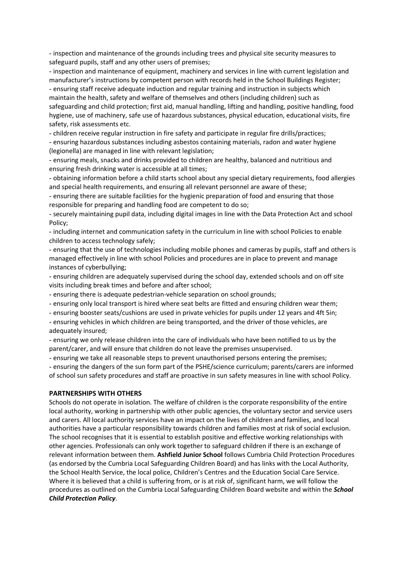- inspection and maintenance of the grounds including trees and physical site security measures to safeguard pupils, staff and any other users of premises;

- inspection and maintenance of equipment, machinery and services in line with current legislation and manufacturer's instructions by competent person with records held in the School Buildings Register; - ensuring staff receive adequate induction and regular training and instruction in subjects which maintain the health, safety and welfare of themselves and others (including children) such as safeguarding and child protection; first aid, manual handling, lifting and handling, positive handling, food hygiene, use of machinery, safe use of hazardous substances, physical education, educational visits, fire safety, risk assessments etc.

- children receive regular instruction in fire safety and participate in regular fire drills/practices;

- ensuring hazardous substances including asbestos containing materials, radon and water hygiene (legionella) are managed in line with relevant legislation;

- ensuring meals, snacks and drinks provided to children are healthy, balanced and nutritious and ensuring fresh drinking water is accessible at all times;

- obtaining information before a child starts school about any special dietary requirements, food allergies and special health requirements, and ensuring all relevant personnel are aware of these;

- ensuring there are suitable facilities for the hygienic preparation of food and ensuring that those responsible for preparing and handling food are competent to do so;

- securely maintaining pupil data, including digital images in line with the Data Protection Act and school Policy;

- including internet and communication safety in the curriculum in line with school Policies to enable children to access technology safely;

- ensuring that the use of technologies including mobile phones and cameras by pupils, staff and others is managed effectively in line with school Policies and procedures are in place to prevent and manage instances of cyberbullying;

- ensuring children are adequately supervised during the school day, extended schools and on off site visits including break times and before and after school;

- ensuring there is adequate pedestrian-vehicle separation on school grounds;

- ensuring only local transport is hired where seat belts are fitted and ensuring children wear them;

- ensuring booster seats/cushions are used in private vehicles for pupils under 12 years and 4ft 5in;

- ensuring vehicles in which children are being transported, and the driver of those vehicles, are adequately insured;

- ensuring we only release children into the care of individuals who have been notified to us by the parent/carer, and will ensure that children do not leave the premises unsupervised.

- ensuring we take all reasonable steps to prevent unauthorised persons entering the premises;

- ensuring the dangers of the sun form part of the PSHE/science curriculum; parents/carers are informed of school sun safety procedures and staff are proactive in sun safety measures in line with school Policy.

#### **PARTNERSHIPS WITH OTHERS**

Schools do not operate in isolation. The welfare of children is the corporate responsibility of the entire local authority, working in partnership with other public agencies, the voluntary sector and service users and carers. All local authority services have an impact on the lives of children and families, and local authorities have a particular responsibility towards children and families most at risk of social exclusion. The school recognises that it is essential to establish positive and effective working relationships with other agencies. Professionals can only work together to safeguard children if there is an exchange of relevant information between them. **Ashfield Junior School** follows Cumbria Child Protection Procedures (as endorsed by the Cumbria Local Safeguarding Children Board) and has links with the Local Authority, the School Health Service, the local police, Children's Centres and the Education Social Care Service. Where it is believed that a child is suffering from, or is at risk of, significant harm, we will follow the procedures as outlined on the Cumbria Local Safeguarding Children Board website and within the *School Child Protection Policy*.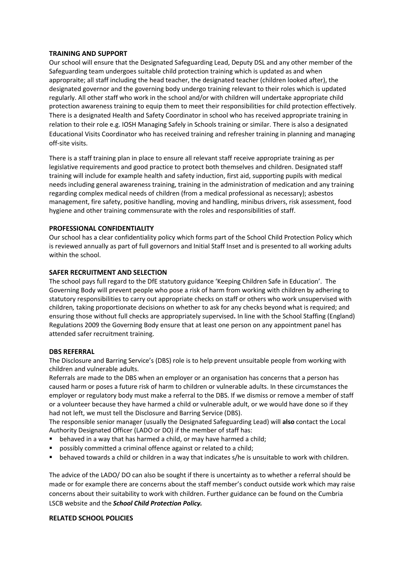#### **TRAINING AND SUPPORT**

Our school will ensure that the Designated Safeguarding Lead, Deputy DSL and any other member of the Safeguarding team undergoes suitable child protection training which is updated as and when appropraite; all staff including the head teacher, the designated teacher (children looked after), the designated governor and the governing body undergo training relevant to their roles which is updated regularly. All other staff who work in the school and/or with children will undertake appropriate child protection awareness training to equip them to meet their responsibilities for child protection effectively. There is a designated Health and Safety Coordinator in school who has received appropriate training in relation to their role e.g. IOSH Managing Safely in Schools training or similar. There is also a designated Educational Visits Coordinator who has received training and refresher training in planning and managing off-site visits.

There is a staff training plan in place to ensure all relevant staff receive appropriate training as per legislative requirements and good practice to protect both themselves and children. Designated staff training will include for example health and safety induction, first aid, supporting pupils with medical needs including general awareness training, training in the administration of medication and any training regarding complex medical needs of children (from a medical professional as necessary); asbestos management, fire safety, positive handling, moving and handling, minibus drivers, risk assessment, food hygiene and other training commensurate with the roles and responsibilities of staff.

# **PROFESSIONAL CONFIDENTIALITY**

Our school has a clear confidentiality policy which forms part of the School Child Protection Policy which is reviewed annually as part of full governors and Initial Staff Inset and is presented to all working adults within the school.

#### **SAFER RECRUITMENT AND SELECTION**

The school pays full regard to the DfE statutory guidance 'Keeping Children Safe in Education'. The Governing Body will prevent people who pose a risk of harm from working with children by adhering to statutory responsibilities to carry out appropriate checks on staff or others who work unsupervised with children*,* taking proportionate decisions on whether to ask for any checks beyond what is required; and ensuring those without full checks are appropriately supervised**.** In line with the School Staffing (England) Regulations 2009 the Governing Body ensure that at least one person on any appointment panel has attended safer recruitment training.

#### **DBS REFERRAL**

The Disclosure and Barring Service's (DBS) role is to help prevent unsuitable people from working with children and vulnerable adults.

Referrals are made to the DBS when an employer or an organisation has concerns that a person has caused harm or poses a future risk of harm to children or vulnerable adults. In these circumstances the employer or regulatory body must make a referral to the DBS. If we dismiss or remove a member of staff or a volunteer because they have harmed a child or vulnerable adult, or we would have done so if they had not left, we must tell the Disclosure and Barring Service (DBS).

The responsible senior manager (usually the Designated Safeguarding Lead) will **also** contact the Local Authority Designated Officer (LADO or DO) if the member of staff has:

- behaved in a way that has harmed a child, or may have harmed a child;
- **Perform** possibly committed a criminal offence against or related to a child;
- behaved towards a child or children in a way that indicates s/he is unsuitable to work with children.

The advice of the LADO/ DO can also be sought if there is uncertainty as to whether a referral should be made or for example there are concerns about the staff member's conduct outside work which may raise concerns about their suitability to work with children. Further guidance can be found on the Cumbria LSCB website and the *School Child Protection Policy.*

#### **RELATED SCHOOL POLICIES**